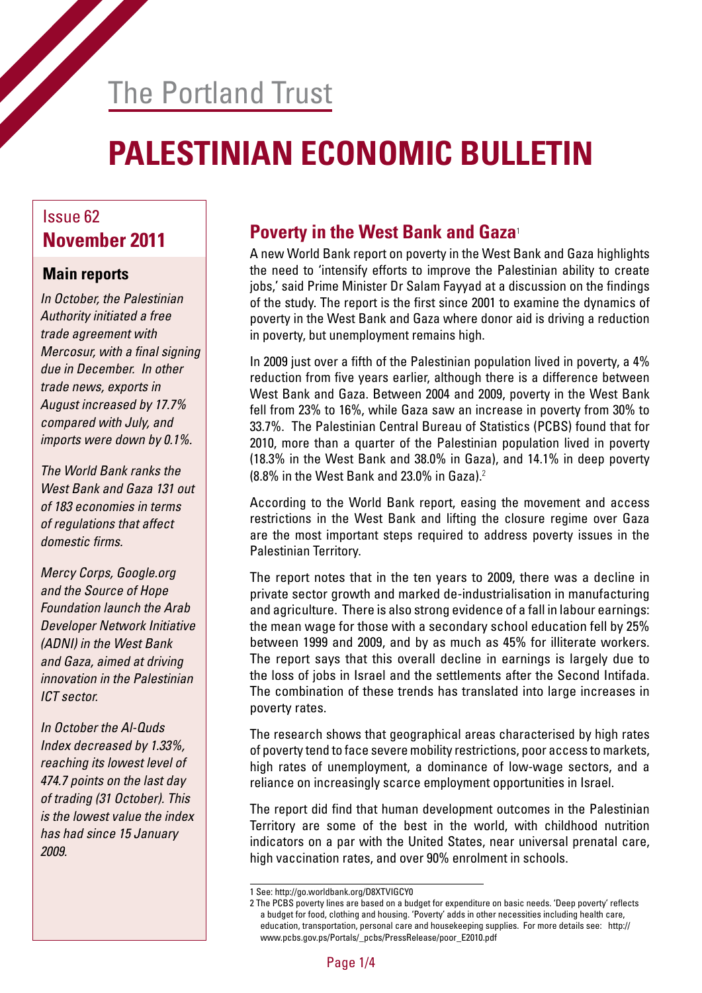# The Portland Trust

# **PALESTINIAN ECONOMIC BULLETIN**

# Issue 62

#### **Main reports**

*In October, the Palestinian Authority initiated a free trade agreement with*  Mercosur, with a final signing *due in December. In other trade news, exports in August increased by 17.7% compared with July, and imports were down by 0.1%.*

*The World Bank ranks the West Bank and Gaza 131 out of 183 economies in terms of regulations that affect*  domestic firms.

*Mercy Corps, Google.org and the Source of Hope Foundation launch the Arab Developer Network Initiative (ADNI) in the West Bank and Gaza, aimed at driving innovation in the Palestinian ICT sector.* 

*In October the Al-Quds Index decreased by 1.33%, reaching its lowest level of 474.7 points on the last day of trading (31 October). This is the lowest value the index has had since 15 January 2009.*

### **November 2011 Poverty in the West Bank and Gaza**<sup>1</sup>

A new World Bank report on poverty in the West Bank and Gaza highlights the need to 'intensify efforts to improve the Palestinian ability to create jobs,' said Prime Minister Dr Salam Fayyad at a discussion on the findings of the study. The report is the first since 2001 to examine the dynamics of poverty in the West Bank and Gaza where donor aid is driving a reduction in poverty, but unemployment remains high.

In 2009 just over a fifth of the Palestinian population lived in poverty, a 4% reduction from five years earlier, although there is a difference between West Bank and Gaza. Between 2004 and 2009, poverty in the West Bank fell from 23% to 16%, while Gaza saw an increase in poverty from 30% to 33.7%. The Palestinian Central Bureau of Statistics (PCBS) found that for 2010, more than a quarter of the Palestinian population lived in poverty (18.3% in the West Bank and 38.0% in Gaza), and 14.1% in deep poverty  $(8.8\%$  in the West Bank and 23.0% in Gaza).<sup>2</sup>

According to the World Bank report, easing the movement and access restrictions in the West Bank and lifting the closure regime over Gaza are the most important steps required to address poverty issues in the Palestinian Territory.

The report notes that in the ten years to 2009, there was a decline in private sector growth and marked de-industrialisation in manufacturing and agriculture. There is also strong evidence of a fall in labour earnings: the mean wage for those with a secondary school education fell by 25% between 1999 and 2009, and by as much as 45% for illiterate workers. The report says that this overall decline in earnings is largely due to the loss of jobs in Israel and the settlements after the Second Intifada. The combination of these trends has translated into large increases in poverty rates.

The research shows that geographical areas characterised by high rates of poverty tend to face severe mobility restrictions, poor access to markets, high rates of unemployment, a dominance of low-wage sectors, and a reliance on increasingly scarce employment opportunities in Israel.

The report did find that human development outcomes in the Palestinian Territory are some of the best in the world, with childhood nutrition indicators on a par with the United States, near universal prenatal care, high vaccination rates, and over 90% enrolment in schools.

<sup>1</sup> See: http://go.worldbank.org/D8XTVIGCY0

<sup>2</sup> The PCBS poverty lines are based on a budget for expenditure on basic needs. 'Deep poverty' reflects a budget for food, clothing and housing. 'Poverty' adds in other necessities including health care, education, transportation, personal care and housekeeping supplies. For more details see: http:// www.pcbs.gov.ps/Portals/\_pcbs/PressRelease/poor\_E2010.pdf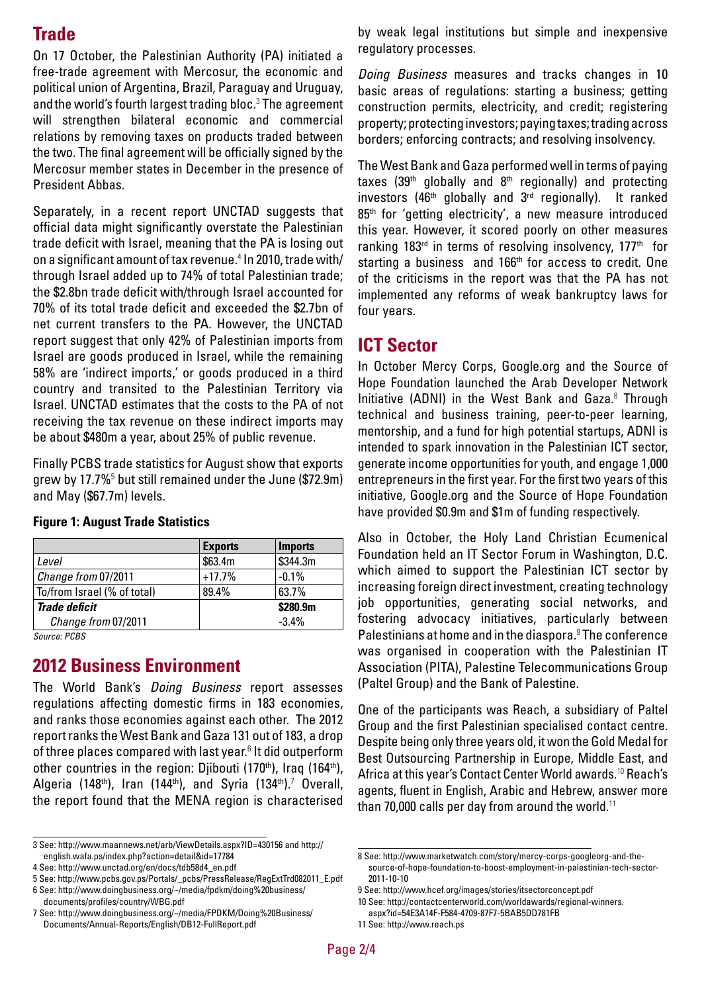### **Trade**

On 17 October, the Palestinian Authority (PA) initiated a free-trade agreement with Mercosur, the economic and political union of Argentina, Brazil, Paraguay and Uruguay, and the world's fourth largest trading bloc.<sup>3</sup> The agreement will strengthen bilateral economic and commercial relations by removing taxes on products traded between the two. The final agreement will be officially signed by the Mercosur member states in December in the presence of President Abbas.

Separately, in a recent report UNCTAD suggests that official data might significantly overstate the Palestinian trade deficit with Israel, meaning that the PA is losing out on a significant amount of tax revenue.<sup>4</sup> In 2010, trade with/ through Israel added up to 74% of total Palestinian trade; the \$2.8bn trade deficit with/through Israel accounted for 70% of its total trade deficit and exceeded the \$2.7bn of net current transfers to the PA. However, the UNCTAD report suggest that only 42% of Palestinian imports from Israel are goods produced in Israel, while the remaining 58% are 'indirect imports,' or goods produced in a third country and transited to the Palestinian Territory via Israel. UNCTAD estimates that the costs to the PA of not receiving the tax revenue on these indirect imports may be about \$480m a year, about 25% of public revenue.

Finally PCBS trade statistics for August show that exports grew by 17.7%<sup>5</sup> but still remained under the June (\$72.9m) and May (\$67.7m) levels.

|                             | <b>Exports</b> | <b>Imports</b> |
|-----------------------------|----------------|----------------|
| Level                       | \$63.4m        | \$344.3m       |
| Change from 07/2011         | $+17.7%$       | $-0.1%$        |
| To/from Israel (% of total) | 89.4%          | 63.7%          |
| <b>Trade deficit</b>        |                | \$280.9m       |
| Change from 07/2011         |                | $-3.4%$        |

#### **Figure 1: August Trade Statistics**

*Source: PCBS*

#### **2012 Business Environment**

The World Bank's *Doing Business* report assesses regulations affecting domestic firms in 183 economies, and ranks those economies against each other. The 2012 report ranks the West Bank and Gaza 131 out of 183, a drop of three places compared with last year.<sup>6</sup> It did outperform other countries in the region: Diibouti (170<sup>th</sup>), Iraq (164<sup>th</sup>), Algeria (148<sup>th</sup>), Iran (144<sup>th</sup>), and Syria (134<sup>th</sup>).<sup>7</sup> Overall, the report found that the MENA region is characterised

by weak legal institutions but simple and inexpensive regulatory processes.

*Doing Business* measures and tracks changes in 10 basic areas of regulations: starting a business; getting construction permits, electricity, and credit; registering property; protecting investors; paying taxes; trading across borders; enforcing contracts; and resolving insolvency.

The West Bank and Gaza performed well in terms of paying taxes  $(39<sup>th</sup>$  globally and  $8<sup>th</sup>$  regionally) and protecting investors (46<sup>th</sup> globally and 3<sup>rd</sup> regionally). It ranked 85<sup>th</sup> for 'getting electricity', a new measure introduced this year. However, it scored poorly on other measures ranking 183 $^{rd}$  in terms of resolving insolvency, 177<sup>th</sup> for starting a business and  $166<sup>th</sup>$  for access to credit. One of the criticisms in the report was that the PA has not implemented any reforms of weak bankruptcy laws for four years.

#### **ICT Sector**

In October Mercy Corps, Google.org and the Source of Hope Foundation launched the Arab Developer Network Initiative (ADNI) in the West Bank and Gaza. $8$  Through technical and business training, peer-to-peer learning, mentorship, and a fund for high potential startups, ADNI is intended to spark innovation in the Palestinian ICT sector, generate income opportunities for youth, and engage 1,000 entrepreneurs in the first year. For the first two years of this initiative, Google.org and the Source of Hope Foundation have provided \$0.9m and \$1m of funding respectively.

Also in October, the Holy Land Christian Ecumenical Foundation held an IT Sector Forum in Washington, D.C. which aimed to support the Palestinian ICT sector by increasing foreign direct investment, creating technology job opportunities, generating social networks, and fostering advocacy initiatives, particularly between Palestinians at home and in the diaspora.<sup>9</sup> The conference was organised in cooperation with the Palestinian IT Association (PITA), Palestine Telecommunications Group (Paltel Group) and the Bank of Palestine.

One of the participants was Reach, a subsidiary of Paltel Group and the first Palestinian specialised contact centre. Despite being only three years old, it won the Gold Medal for Best Outsourcing Partnership in Europe, Middle East, and Africa at this year's Contact Center World awards.<sup>10</sup> Reach's agents, fluent in English, Arabic and Hebrew, answer more than 70,000 calls per day from around the world.<sup>11</sup>

<sup>3</sup> See: http://www.maannews.net/arb/ViewDetails.aspx?ID=430156 and http:// english.wafa.ps/index.php?action=detail&id=17784

<sup>4</sup> See: http://www.unctad.org/en/docs/tdb58d4\_en.pdf

<sup>5</sup> See: http://www.pcbs.gov.ps/Portals/\_pcbs/PressRelease/RegExtTrd082011\_E.pdf

<sup>6</sup> See: http://www.doingbusiness.org/~/media/fpdkm/doing%20business/ documents/profiles/country/WBG.pdf

<sup>7</sup> See: http://www.doingbusiness.org/~/media/FPDKM/Doing%20Business/ Documents/Annual-Reports/English/DB12-FullReport.pdf

<sup>8</sup> See: http://www.marketwatch.com/story/mercy-corps-googleorg-and-thesource-of-hope-foundation-to-boost-employment-in-palestinian-tech-sector-2011-10-10

<sup>9</sup> See: http://www.hcef.org/images/stories/itsectorconcept.pdf

<sup>10</sup> See: http://contactcenterworld.com/worldawards/regional-winners. aspx?id=54E3A14F-F584-4709-87F7-5BAB5DD781FB

<sup>11</sup> See: http://www.reach.ps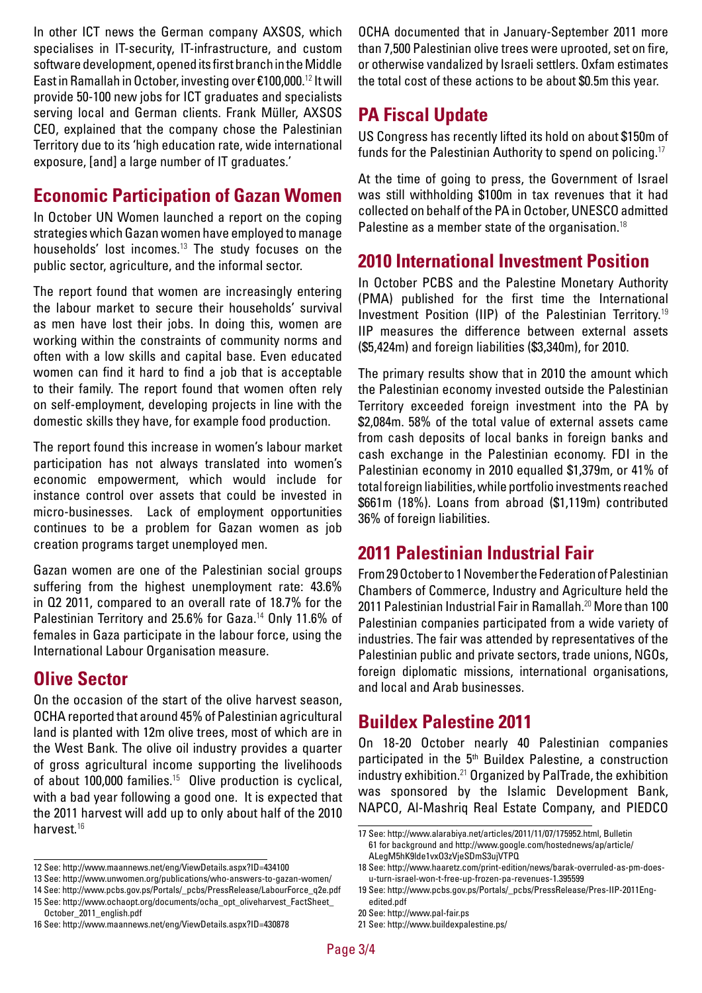In other ICT news the German company AXSOS, which specialises in IT-security, IT-infrastructure, and custom software development, opened its first branch in the Middle East in Ramallah in October, investing over €100,000.<sup>12</sup> It will provide 50-100 new jobs for ICT graduates and specialists serving local and German clients. Frank Müller, AXSOS CEO, explained that the company chose the Palestinian Territory due to its 'high education rate, wide international exposure, [and] a large number of IT graduates.'

### **Economic Participation of Gazan Women**

In October UN Women launched a report on the coping strategies which Gazan women have employed to manage households' lost incomes.<sup>13</sup> The study focuses on the public sector, agriculture, and the informal sector.

The report found that women are increasingly entering the labour market to secure their households' survival as men have lost their jobs. In doing this, women are working within the constraints of community norms and often with a low skills and capital base. Even educated women can find it hard to find a job that is acceptable to their family. The report found that women often rely on self-employment, developing projects in line with the domestic skills they have, for example food production.

The report found this increase in women's labour market participation has not always translated into women's economic empowerment, which would include for instance control over assets that could be invested in micro-businesses. Lack of employment opportunities continues to be a problem for Gazan women as job creation programs target unemployed men.

Gazan women are one of the Palestinian social groups suffering from the highest unemployment rate: 43.6% in Q2 2011, compared to an overall rate of 18.7% for the Palestinian Territory and 25.6% for Gaza.<sup>14</sup> Only 11.6% of females in Gaza participate in the labour force, using the International Labour Organisation measure.

#### **Olive Sector**

On the occasion of the start of the olive harvest season, OCHA reported that around 45% of Palestinian agricultural land is planted with 12m olive trees, most of which are in the West Bank. The olive oil industry provides a quarter of gross agricultural income supporting the livelihoods of about 100,000 families.<sup>15</sup> Olive production is cyclical, with a bad year following a good one. It is expected that the 2011 harvest will add up to only about half of the 2010 harvest.<sup>16</sup>

OCHA documented that in January-September 2011 more than 7,500 Palestinian olive trees were uprooted, set on fire, or otherwise vandalized by Israeli settlers. Oxfam estimates the total cost of these actions to be about \$0.5m this year.

#### **PA Fiscal Update**

US Congress has recently lifted its hold on about \$150m of funds for the Palestinian Authority to spend on policing.<sup>17</sup>

At the time of going to press, the Government of Israel was still withholding \$100m in tax revenues that it had collected on behalf of the PA in October, UNESCO admitted Palestine as a member state of the organisation.<sup>18</sup>

#### **2010 International Investment Position**

In October PCBS and the Palestine Monetary Authority (PMA) published for the first time the International Investment Position (IIP) of the Palestinian Territory.<sup>19</sup> IIP measures the difference between external assets (\$5,424m) and foreign liabilities (\$3,340m), for 2010.

The primary results show that in 2010 the amount which the Palestinian economy invested outside the Palestinian Territory exceeded foreign investment into the PA by \$2,084m. 58% of the total value of external assets came from cash deposits of local banks in foreign banks and cash exchange in the Palestinian economy. FDI in the Palestinian economy in 2010 equalled \$1,379m, or 41% of total foreign liabilities, while portfolio investments reached \$661m (18%). Loans from abroad (\$1,119m) contributed 36% of foreign liabilities.

#### **2011 Palestinian Industrial Fair**

From 29 October to 1 November the Federation of Palestinian Chambers of Commerce, Industry and Agriculture held the 2011 Palestinian Industrial Fair in Ramallah.<sup>20</sup> More than 100 Palestinian companies participated from a wide variety of industries. The fair was attended by representatives of the Palestinian public and private sectors, trade unions, NGOs, foreign diplomatic missions, international organisations, and local and Arab businesses.

#### **Buildex Palestine 2011**

On 18-20 October nearly 40 Palestinian companies participated in the 5<sup>th</sup> Buildex Palestine, a construction industry exhibition.<sup>21</sup> Organized by PalTrade, the exhibition was sponsored by the Islamic Development Bank, NAPCO, Al-Mashriq Real Estate Company, and PIEDCO

<sup>12</sup> See: http://www.maannews.net/eng/ViewDetails.aspx?ID=434100

<sup>13</sup> See: http://www.unwomen.org/publications/who-answers-to-gazan-women/

<sup>14</sup> See: http://www.pcbs.gov.ps/Portals/\_pcbs/PressRelease/LabourForce\_q2e.pdf

<sup>15</sup> See: http://www.ochaopt.org/documents/ocha\_opt\_oliveharvest\_FactSheet\_ October\_2011\_english.pdf 16 See: http://www.maannews.net/eng/ViewDetails.aspx?ID=430878

<sup>17</sup> See: http://www.alarabiya.net/articles/2011/11/07/175952.html, Bulletin 61 for background and http://www.google.com/hostednews/ap/article/ ALegM5hK9lde1vxO3zVjeSDmS3ujVTPQ

<sup>18</sup> See: http://www.haaretz.com/print-edition/news/barak-overruled-as-pm-doesu-turn-israel-won-t-free-up-frozen-pa-revenues-1.395599

<sup>19</sup> See: http://www.pcbs.gov.ps/Portals/\_pcbs/PressRelease/Pres-IIP-2011Engedited.pdf

<sup>20</sup> See: http://www.pal-fair.ps

<sup>21</sup> See: http://www.buildexpalestine.ps/